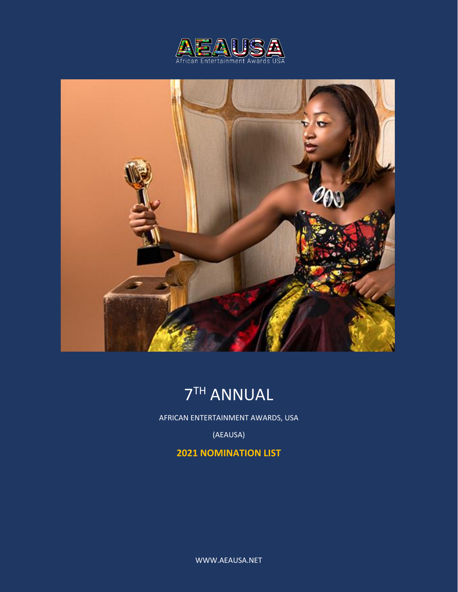





AFRICAN ENTERTAINMENT AWARDS, USA

(AEAUSA)

# **2021 NOMINATION LIST**

WWW.AEAUSA.NET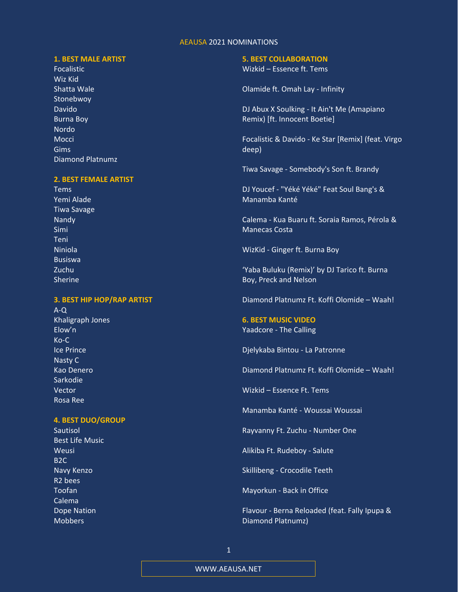# **1. BEST MALE ARTIST**

Focalistic Wiz Kid Shatta Wale Stonebwoy Davido Burna Boy Nordo Mocci Gims Diamond Platnumz

### **2. BEST FEMALE ARTIST**

Tems Yemi Alade Tiwa Savage Nandy Simi Teni Niniola Busiswa Zuchu Sherine

# **3. BEST HIP HOP/RAP ARTIST**

A-Q Khaligraph Jones Elow'n Ko-C Ice Prince Nasty C Kao Denero Sarkodie Vector Rosa Ree

### **4. BEST DUO/GROUP**

Sautisol Best Life Music Weusi B2C Navy Kenzo R2 bees Toofan Calema Dope Nation **Mobbers** 

#### **5. BEST COLLABORATION**

Wizkid – Essence ft. Tems

Olamide ft. Omah Lay - Infinity

DJ Abux X Soulking - It Ain't Me (Amapiano Remix) [ft. Innocent Boetie]

Focalistic & Davido - Ke Star [Remix] (feat. Virgo deep)

Tiwa Savage - Somebody's Son ft. Brandy

DJ Youcef - "Yéké Yéké" Feat Soul Bang's & Manamba Kanté

Calema - Kua Buaru ft. Soraia Ramos, Pérola & Manecas Costa

WizKid - Ginger ft. Burna Boy

'Yaba Buluku (Remix)' by DJ Tarico ft. Burna Boy, Preck and Nelson

Diamond Platnumz Ft. Koffi Olomide – Waah!

**6. BEST MUSIC VIDEO** Yaadcore - The Calling

Djelykaba Bintou - La Patronne

Diamond Platnumz Ft. Koffi Olomide – Waah!

Wizkid – Essence Ft. Tems

Manamba Kanté - Woussai Woussai

Rayvanny Ft. Zuchu - Number One

Alikiba Ft. Rudeboy - Salute

Skillibeng - Crocodile Teeth

Mayorkun - Back in Office

Flavour - Berna Reloaded (feat. Fally Ipupa & Diamond Platnumz)

WWW.AEAUSA.NET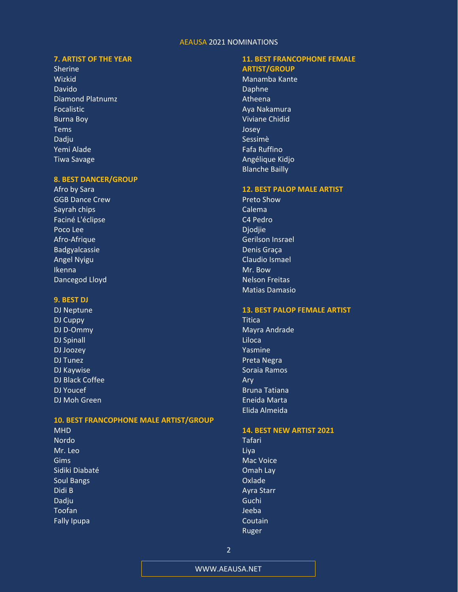# **7. ARTIST OF THE YEAR**

Sherine Wizkid Davido Diamond Platnumz Focalistic Burna Boy Tems Dadju Yemi Alade Tiwa Savage

### **8. BEST DANCER/GROUP**

Afro by Sara GGB Dance Crew Sayrah chips Faciné L'éclipse Poco Lee Afro-Afrique Badgyalcassie Angel Nyigu Ikenna Dancegod Lloyd

### **9. BEST DJ**

DJ Neptune DJ Cuppy DJ D-Ommy DJ Spinall DJ Joozey DJ Tunez DJ Kaywise DJ Black Coffee DJ Youcef DJ Moh Green

# **10. BEST FRANCOPHONE MALE ARTIST/GROUP**

MHD Nordo Mr. Leo Gims Sidiki Diabaté Soul Bangs Didi B Dadju Toofan Fally Ipupa

# **11. BEST FRANCOPHONE FEMALE ARTIST/GROUP**

Manamba Kante Daphne Atheena Aya Nakamura Viviane Chidid Josey Sessimè Fafa Ruffino Angélique Kidjo Blanche Bailly

### **12. BEST PALOP MALE ARTIST**

Preto Show Calema C4 Pedro Djodjie Gerilson Insrael Denis Graça Claudio Ismael Mr. Bow Nelson Freitas Matias Damasio

### **13. BEST PALOP FEMALE ARTIST**

**Titica** Mayra Andrade Liloca Yasmine Preta Negra Soraia Ramos Ary Bruna Tatiana Eneida Marta Elida Almeida

### **14. BEST NEW ARTIST 2021**

Tafari Liya Mac Voice Omah Lay Oxlade Ayra Starr Guchi Jeeba Coutain Ruger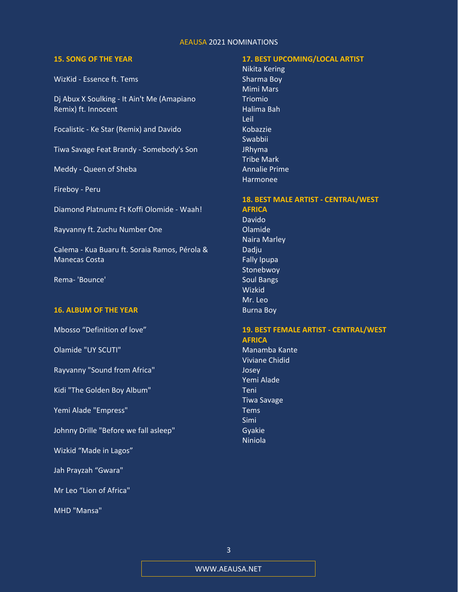### **15. SONG OF THE YEAR**

WizKid - Essence ft. Tems

Dj Abux X Soulking - It Ain't Me (Amapiano Remix) ft. Innocent

Focalistic - Ke Star (Remix) and Davido

Tiwa Savage Feat Brandy - Somebody's Son

Meddy - Queen of Sheba

Fireboy - Peru

Diamond Platnumz Ft Koffi Olomide - Waah!

Rayvanny ft. Zuchu Number One

Calema - Kua Buaru ft. Soraia Ramos, Pérola & Manecas Costa

Rema- 'Bounce'

### **16. ALBUM OF THE YEAR**

Mbosso "Definition of love"

Olamide "UY SCUTI"

Rayvanny "Sound from Africa"

Kidi "The Golden Boy Album"

Yemi Alade "Empress"

Johnny Drille "Before we fall asleep"

Wizkid "Made in Lagos"

Jah Prayzah "Gwara"

Mr Leo "Lion of Africa"

MHD "Mansa"

# **17. BEST UPCOMING/LOCAL ARTIST**

Nikita Kering Sharma Boy Mimi Mars Triomio Halima Bah Leil Kobazzie Swabbii JRhyma Tribe Mark Annalie Prime Harmonee

### **18. BEST MALE ARTIST - CENTRAL/WEST AFRICA**

Davido Olamide Naira Marley Dadju Fally Ipupa Stonebwoy Soul Bangs Wizkid Mr. Leo Burna Boy

# **19. BEST FEMALE ARTIST - CENTRAL/WEST AFRICA**

Manamba Kante Viviane Chidid Josey Yemi Alade Teni Tiwa Savage Tems Simi Gyakie Niniola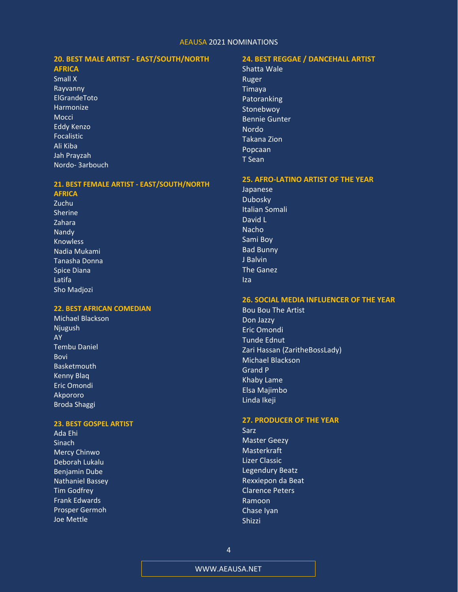# **20. BEST MALE ARTIST - EAST/SOUTH/NORTH**

# **AFRICA**

Small X Rayvanny ElGrandeToto Harmonize Mocci Eddy Kenzo Focalistic Ali Kiba Jah Prayzah Nordo- 3arbouch

#### **21. BEST FEMALE ARTIST - EAST/SOUTH/NORTH AFRICA**

Zuchu Sherine Zahara Nandy Knowless Nadia Mukami Tanasha Donna Spice Diana Latifa Sho Madjozi

# **22. BEST AFRICAN COMEDIAN**

Michael Blackson Njugush AY Tembu Daniel Bovi Basketmouth Kenny Blaq Eric Omondi Akpororo Broda Shaggi

# **23. BEST GOSPEL ARTIST**

Ada Ehi Sinach Mercy Chinwo Deborah Lukalu Benjamin Dube Nathaniel Bassey Tim Godfrey Frank Edwards Prosper Germoh Joe Mettle

# **24. BEST REGGAE / DANCEHALL ARTIST**

Shatta Wale Ruger Timaya Patoranking **Stonebwoy** Bennie Gunter Nordo Takana Zion Popcaan T Sean

#### **25. AFRO-LATINO ARTIST OF THE YEAR**

Japanese Dubosky Italian Somali David L Nacho Sami Boy Bad Bunny J Balvin The Ganez Iza

### **26. SOCIAL MEDIA INFLUENCER OF THE YEAR**

Bou Bou The Artist Don Jazzy Eric Omondi Tunde Ednut Zari Hassan (ZaritheBossLady) Michael Blackson Grand P Khaby Lame Elsa Majimbo Linda Ikeji

#### **27. PRODUCER OF THE YEAR**

Sarz Master Geezy **Masterkraft** Lizer Classic Legendury Beatz Rexxiepon da Beat Clarence Peters Ramoon Chase Iyan Shizzi